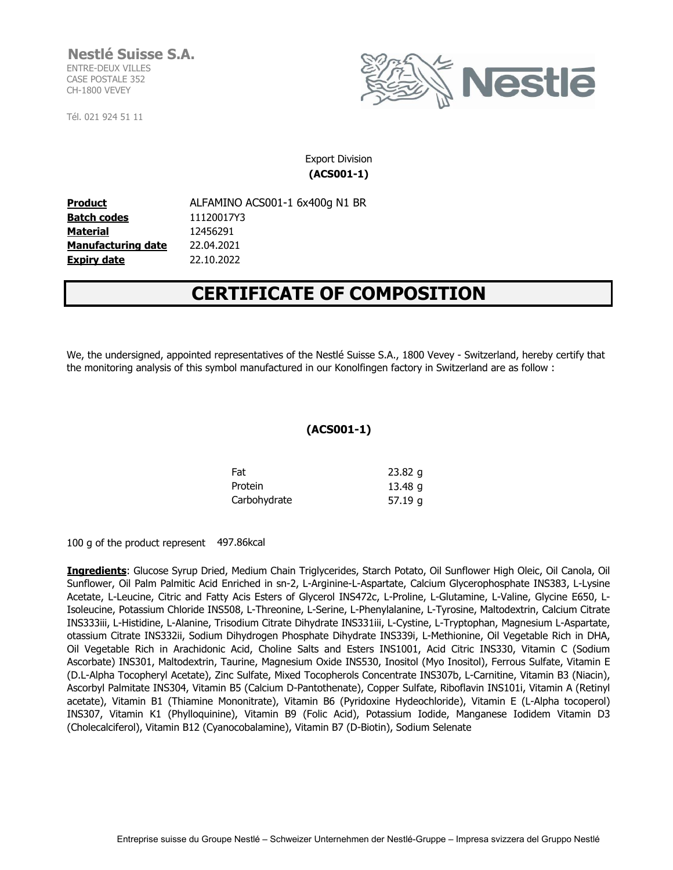## **Nestlé Suisse S.A.** ENTRE-DEUX VILLES

CASE POSTALE 352 CH-1800 VEVEY

Tél. 021 924 51 11



## Export Division **(ACS001-1)**

**Product ALFAMINO ACS001-1 6x400g N1 BR Batch codes** 11120017Y3 **Material Manufacturing date** 22.04.2021 **Expiry date** 22.10.2022 12456291

# **CERTIFICATE OF COMPOSITION**

We, the undersigned, appointed representatives of the Nestlé Suisse S.A., 1800 Vevey - Switzerland, hereby certify that the monitoring analysis of this symbol manufactured in our Konolfingen factory in Switzerland are as follow :

# **(ACS001-1)**

| Fat          | $23.82$ g |
|--------------|-----------|
| Protein      | 13.48 g   |
| Carbohydrate | 57.19g    |

100 g of the product represent 497.86kcal

**Ingredients**: Glucose Syrup Dried, Medium Chain Triglycerides, Starch Potato, Oil Sunflower High Oleic, Oil Canola, Oil Sunflower, Oil Palm Palmitic Acid Enriched in sn-2, L-Arginine-L-Aspartate, Calcium Glycerophosphate INS383, L-Lysine Acetate, L-Leucine, Citric and Fatty Acis Esters of Glycerol INS472c, L-Proline, L-Glutamine, L-Valine, Glycine E650, L-Isoleucine, Potassium Chloride INS508, L-Threonine, L-Serine, L-Phenylalanine, L-Tyrosine, Maltodextrin, Calcium Citrate INS333iii, L-Histidine, L-Alanine, Trisodium Citrate Dihydrate INS331iii, L-Cystine, L-Tryptophan, Magnesium L-Aspartate, otassium Citrate INS332ii, Sodium Dihydrogen Phosphate Dihydrate INS339i, L-Methionine, Oil Vegetable Rich in DHA, Oil Vegetable Rich in Arachidonic Acid, Choline Salts and Esters INS1001, Acid Citric INS330, Vitamin C (Sodium Ascorbate) INS301, Maltodextrin, Taurine, Magnesium Oxide INS530, Inositol (Myo Inositol), Ferrous Sulfate, Vitamin E (D.L-Alpha Tocopheryl Acetate), Zinc Sulfate, Mixed Tocopherols Concentrate INS307b, L-Carnitine, Vitamin B3 (Niacin), Ascorbyl Palmitate INS304, Vitamin B5 (Calcium D-Pantothenate), Copper Sulfate, Riboflavin INS101i, Vitamin A (Retinyl acetate), Vitamin B1 (Thiamine Mononitrate), Vitamin B6 (Pyridoxine Hydeochloride), Vitamin E (L-Alpha tocoperol) INS307, Vitamin K1 (Phylloquinine), Vitamin B9 (Folic Acid), Potassium Iodide, Manganese Iodidem Vitamin D3 (Cholecalciferol), Vitamin B12 (Cyanocobalamine), Vitamin B7 (D-Biotin), Sodium Selenate